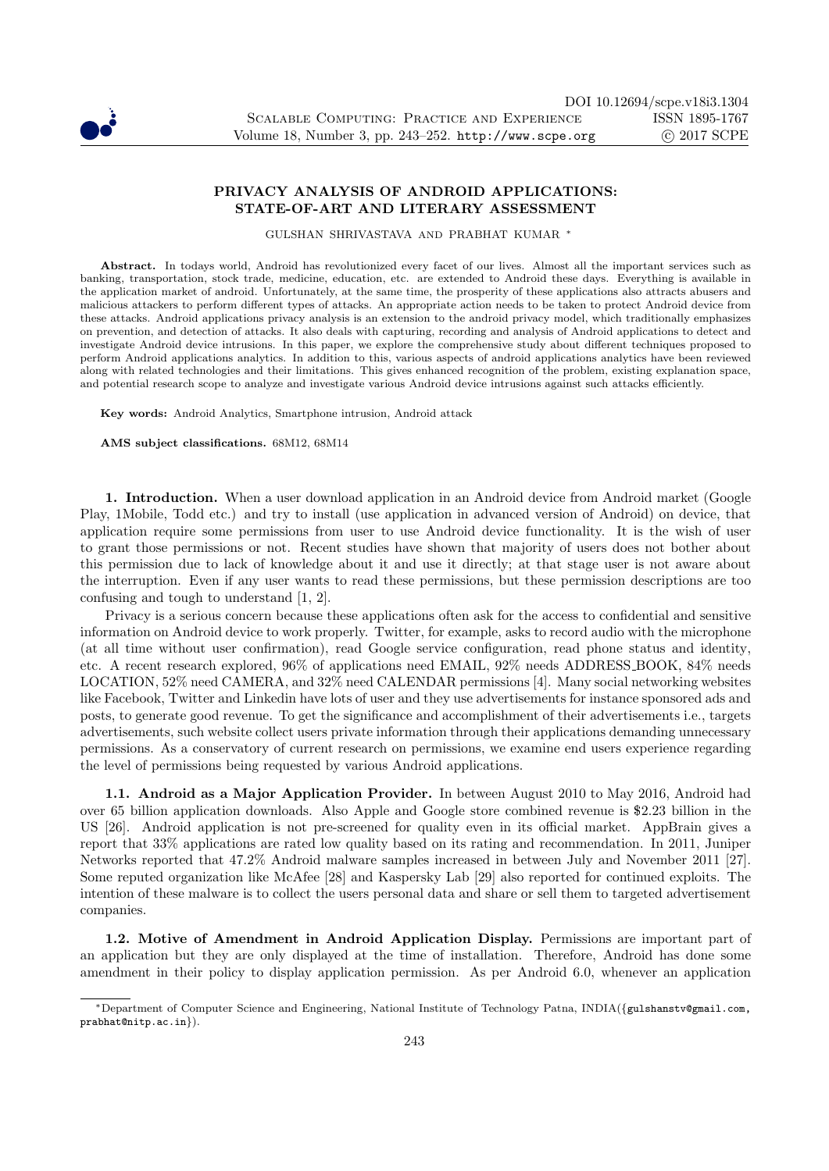

## PRIVACY ANALYSIS OF ANDROID APPLICATIONS: STATE-OF-ART AND LITERARY ASSESSMENT

GULSHAN SHRIVASTAVA AND PRABHAT KUMAR <sup>∗</sup>

Abstract. In todays world, Android has revolutionized every facet of our lives. Almost all the important services such as banking, transportation, stock trade, medicine, education, etc. are extended to Android these days. Everything is available in the application market of android. Unfortunately, at the same time, the prosperity of these applications also attracts abusers and malicious attackers to perform different types of attacks. An appropriate action needs to be taken to protect Android device from these attacks. Android applications privacy analysis is an extension to the android privacy model, which traditionally emphasizes on prevention, and detection of attacks. It also deals with capturing, recording and analysis of Android applications to detect and investigate Android device intrusions. In this paper, we explore the comprehensive study about different techniques proposed to perform Android applications analytics. In addition to this, various aspects of android applications analytics have been reviewed along with related technologies and their limitations. This gives enhanced recognition of the problem, existing explanation space, and potential research scope to analyze and investigate various Android device intrusions against such attacks efficiently.

Key words: Android Analytics, Smartphone intrusion, Android attack

AMS subject classifications. 68M12, 68M14

1. Introduction. When a user download application in an Android device from Android market (Google Play, 1Mobile, Todd etc.) and try to install (use application in advanced version of Android) on device, that application require some permissions from user to use Android device functionality. It is the wish of user to grant those permissions or not. Recent studies have shown that majority of users does not bother about this permission due to lack of knowledge about it and use it directly; at that stage user is not aware about the interruption. Even if any user wants to read these permissions, but these permission descriptions are too confusing and tough to understand [1, 2].

Privacy is a serious concern because these applications often ask for the access to confidential and sensitive information on Android device to work properly. Twitter, for example, asks to record audio with the microphone (at all time without user confirmation), read Google service configuration, read phone status and identity, etc. A recent research explored, 96% of applications need EMAIL, 92% needs ADDRESS BOOK, 84% needs LOCATION, 52% need CAMERA, and 32% need CALENDAR permissions [4]. Many social networking websites like Facebook, Twitter and Linkedin have lots of user and they use advertisements for instance sponsored ads and posts, to generate good revenue. To get the significance and accomplishment of their advertisements i.e., targets advertisements, such website collect users private information through their applications demanding unnecessary permissions. As a conservatory of current research on permissions, we examine end users experience regarding the level of permissions being requested by various Android applications.

1.1. Android as a Major Application Provider. In between August 2010 to May 2016, Android had over 65 billion application downloads. Also Apple and Google store combined revenue is \$2.23 billion in the US [26]. Android application is not pre-screened for quality even in its official market. AppBrain gives a report that 33% applications are rated low quality based on its rating and recommendation. In 2011, Juniper Networks reported that 47.2% Android malware samples increased in between July and November 2011 [27]. Some reputed organization like McAfee [28] and Kaspersky Lab [29] also reported for continued exploits. The intention of these malware is to collect the users personal data and share or sell them to targeted advertisement companies.

1.2. Motive of Amendment in Android Application Display. Permissions are important part of an application but they are only displayed at the time of installation. Therefore, Android has done some amendment in their policy to display application permission. As per Android 6.0, whenever an application

<sup>∗</sup>Department of Computer Science and Engineering, National Institute of Technology Patna, INDIA({gulshanstv@gmail.com, prabhat@nitp.ac.in}).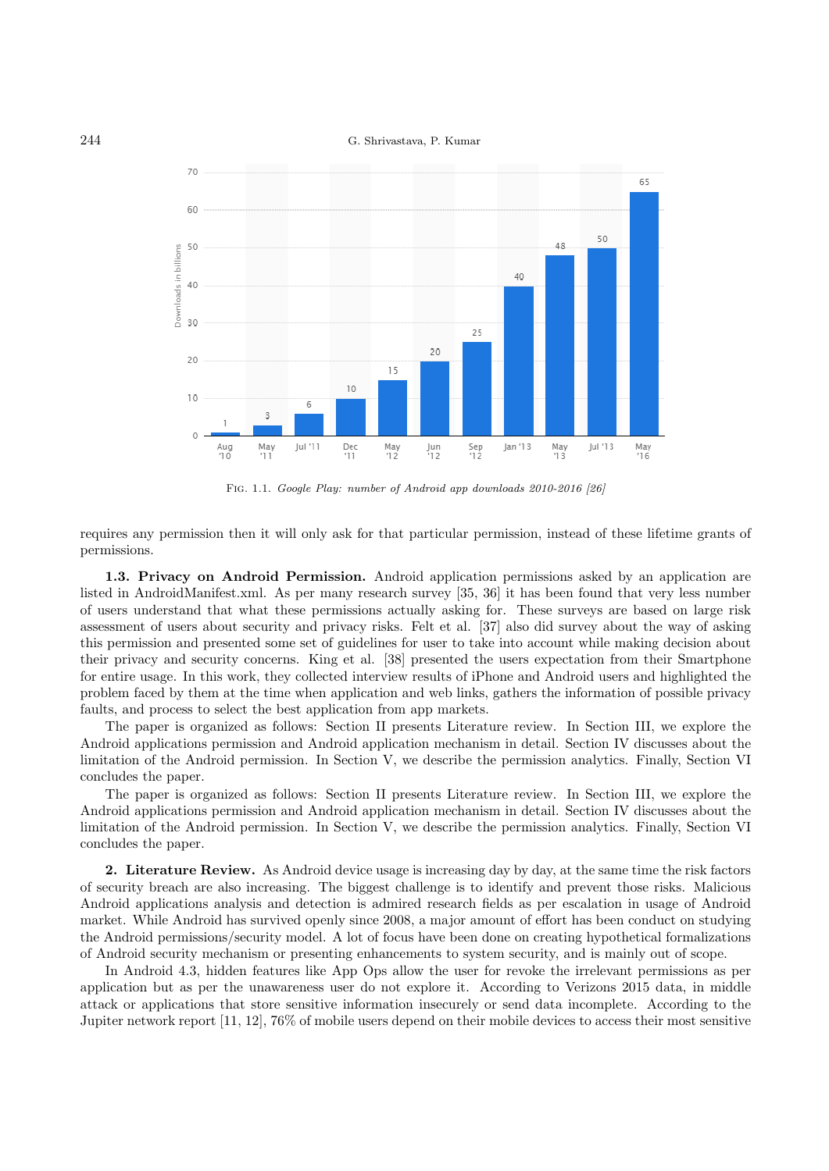## 244 G. Shrivastava, P. Kumar



Fig. 1.1. Google Play: number of Android app downloads 2010-2016 [26]

requires any permission then it will only ask for that particular permission, instead of these lifetime grants of permissions.

1.3. Privacy on Android Permission. Android application permissions asked by an application are listed in AndroidManifest.xml. As per many research survey [35, 36] it has been found that very less number of users understand that what these permissions actually asking for. These surveys are based on large risk assessment of users about security and privacy risks. Felt et al. [37] also did survey about the way of asking this permission and presented some set of guidelines for user to take into account while making decision about their privacy and security concerns. King et al. [38] presented the users expectation from their Smartphone for entire usage. In this work, they collected interview results of iPhone and Android users and highlighted the problem faced by them at the time when application and web links, gathers the information of possible privacy faults, and process to select the best application from app markets.

The paper is organized as follows: Section II presents Literature review. In Section III, we explore the Android applications permission and Android application mechanism in detail. Section IV discusses about the limitation of the Android permission. In Section V, we describe the permission analytics. Finally, Section VI concludes the paper.

The paper is organized as follows: Section II presents Literature review. In Section III, we explore the Android applications permission and Android application mechanism in detail. Section IV discusses about the limitation of the Android permission. In Section V, we describe the permission analytics. Finally, Section VI concludes the paper.

2. Literature Review. As Android device usage is increasing day by day, at the same time the risk factors of security breach are also increasing. The biggest challenge is to identify and prevent those risks. Malicious Android applications analysis and detection is admired research fields as per escalation in usage of Android market. While Android has survived openly since 2008, a major amount of effort has been conduct on studying the Android permissions/security model. A lot of focus have been done on creating hypothetical formalizations of Android security mechanism or presenting enhancements to system security, and is mainly out of scope.

In Android 4.3, hidden features like App Ops allow the user for revoke the irrelevant permissions as per application but as per the unawareness user do not explore it. According to Verizons 2015 data, in middle attack or applications that store sensitive information insecurely or send data incomplete. According to the Jupiter network report [11, 12], 76% of mobile users depend on their mobile devices to access their most sensitive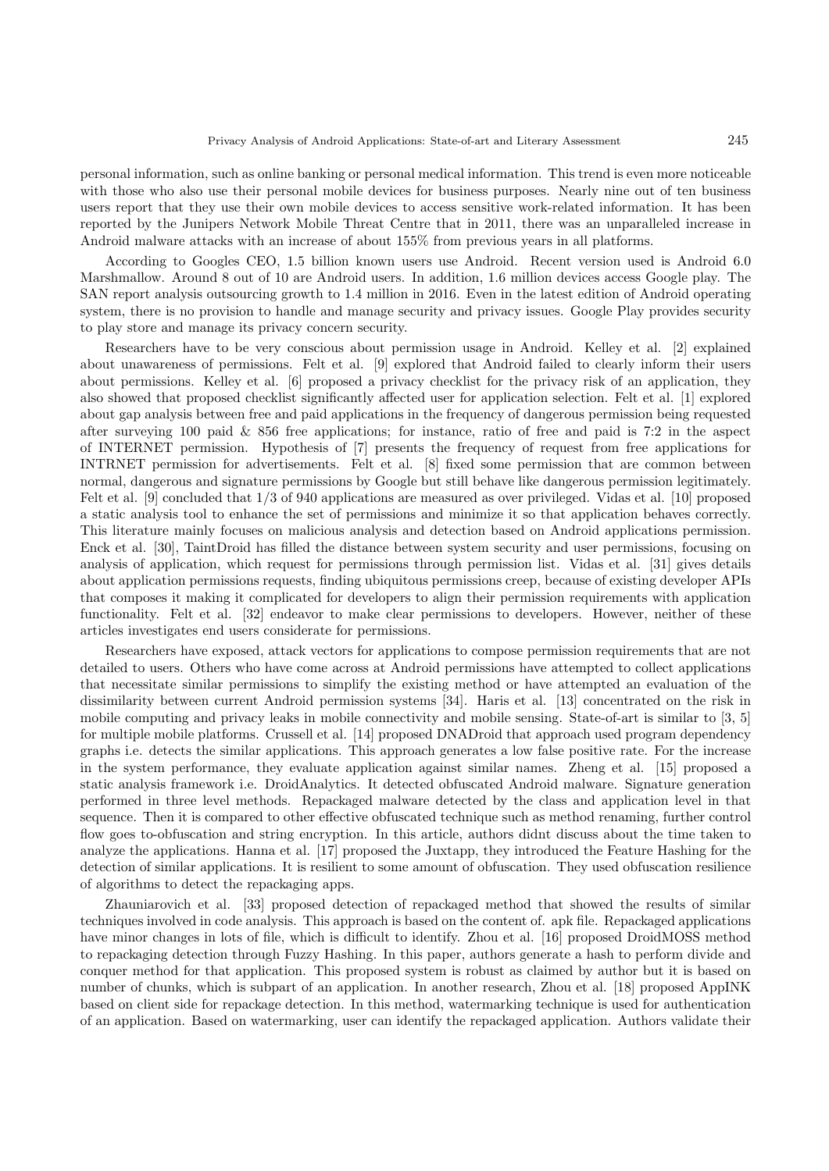personal information, such as online banking or personal medical information. This trend is even more noticeable with those who also use their personal mobile devices for business purposes. Nearly nine out of ten business users report that they use their own mobile devices to access sensitive work-related information. It has been reported by the Junipers Network Mobile Threat Centre that in 2011, there was an unparalleled increase in Android malware attacks with an increase of about 155% from previous years in all platforms.

According to Googles CEO, 1.5 billion known users use Android. Recent version used is Android 6.0 Marshmallow. Around 8 out of 10 are Android users. In addition, 1.6 million devices access Google play. The SAN report analysis outsourcing growth to 1.4 million in 2016. Even in the latest edition of Android operating system, there is no provision to handle and manage security and privacy issues. Google Play provides security to play store and manage its privacy concern security.

Researchers have to be very conscious about permission usage in Android. Kelley et al. [2] explained about unawareness of permissions. Felt et al. [9] explored that Android failed to clearly inform their users about permissions. Kelley et al. [6] proposed a privacy checklist for the privacy risk of an application, they also showed that proposed checklist significantly affected user for application selection. Felt et al. [1] explored about gap analysis between free and paid applications in the frequency of dangerous permission being requested after surveying 100 paid & 856 free applications; for instance, ratio of free and paid is 7:2 in the aspect of INTERNET permission. Hypothesis of [7] presents the frequency of request from free applications for INTRNET permission for advertisements. Felt et al. [8] fixed some permission that are common between normal, dangerous and signature permissions by Google but still behave like dangerous permission legitimately. Felt et al. [9] concluded that 1/3 of 940 applications are measured as over privileged. Vidas et al. [10] proposed a static analysis tool to enhance the set of permissions and minimize it so that application behaves correctly. This literature mainly focuses on malicious analysis and detection based on Android applications permission. Enck et al. [30], TaintDroid has filled the distance between system security and user permissions, focusing on analysis of application, which request for permissions through permission list. Vidas et al. [31] gives details about application permissions requests, finding ubiquitous permissions creep, because of existing developer APIs that composes it making it complicated for developers to align their permission requirements with application functionality. Felt et al. [32] endeavor to make clear permissions to developers. However, neither of these articles investigates end users considerate for permissions.

Researchers have exposed, attack vectors for applications to compose permission requirements that are not detailed to users. Others who have come across at Android permissions have attempted to collect applications that necessitate similar permissions to simplify the existing method or have attempted an evaluation of the dissimilarity between current Android permission systems [34]. Haris et al. [13] concentrated on the risk in mobile computing and privacy leaks in mobile connectivity and mobile sensing. State-of-art is similar to [3, 5] for multiple mobile platforms. Crussell et al. [14] proposed DNADroid that approach used program dependency graphs i.e. detects the similar applications. This approach generates a low false positive rate. For the increase in the system performance, they evaluate application against similar names. Zheng et al. [15] proposed a static analysis framework i.e. DroidAnalytics. It detected obfuscated Android malware. Signature generation performed in three level methods. Repackaged malware detected by the class and application level in that sequence. Then it is compared to other effective obfuscated technique such as method renaming, further control flow goes to-obfuscation and string encryption. In this article, authors didnt discuss about the time taken to analyze the applications. Hanna et al. [17] proposed the Juxtapp, they introduced the Feature Hashing for the detection of similar applications. It is resilient to some amount of obfuscation. They used obfuscation resilience of algorithms to detect the repackaging apps.

Zhauniarovich et al. [33] proposed detection of repackaged method that showed the results of similar techniques involved in code analysis. This approach is based on the content of. apk file. Repackaged applications have minor changes in lots of file, which is difficult to identify. Zhou et al. [16] proposed DroidMOSS method to repackaging detection through Fuzzy Hashing. In this paper, authors generate a hash to perform divide and conquer method for that application. This proposed system is robust as claimed by author but it is based on number of chunks, which is subpart of an application. In another research, Zhou et al. [18] proposed AppINK based on client side for repackage detection. In this method, watermarking technique is used for authentication of an application. Based on watermarking, user can identify the repackaged application. Authors validate their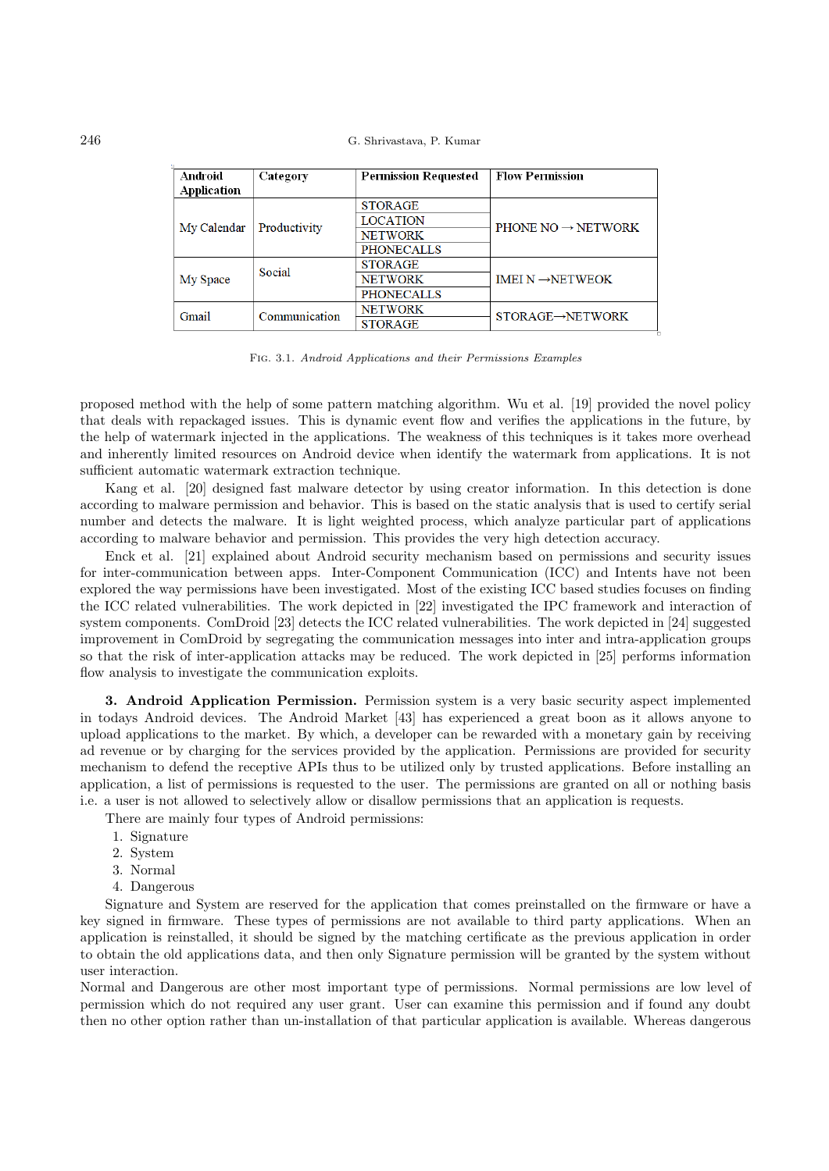| Android     | Category      | <b>Permission Requested</b> | <b>Flow Permission</b>         |
|-------------|---------------|-----------------------------|--------------------------------|
| Application |               |                             |                                |
| My Calendar | Productivity  | <b>STORAGE</b>              | PHONE NO $\rightarrow$ NETWORK |
|             |               | <b>LOCATION</b>             |                                |
|             |               | <b>NETWORK</b>              |                                |
|             |               | <b>PHONECALLS</b>           |                                |
| My Space    | Social        | <b>STORAGE</b>              | IMEI $N \rightarrow$ NETWEOK   |
|             |               | <b>NETWORK</b>              |                                |
|             |               | <b>PHONECALLS</b>           |                                |
| Gmail       | Communication | <b>NETWORK</b>              | STORAGE→NETWORK                |
|             |               | <b>STORAGE</b>              |                                |

Fig. 3.1. Android Applications and their Permissions Examples

proposed method with the help of some pattern matching algorithm. Wu et al. [19] provided the novel policy that deals with repackaged issues. This is dynamic event flow and verifies the applications in the future, by the help of watermark injected in the applications. The weakness of this techniques is it takes more overhead and inherently limited resources on Android device when identify the watermark from applications. It is not sufficient automatic watermark extraction technique.

Kang et al. [20] designed fast malware detector by using creator information. In this detection is done according to malware permission and behavior. This is based on the static analysis that is used to certify serial number and detects the malware. It is light weighted process, which analyze particular part of applications according to malware behavior and permission. This provides the very high detection accuracy.

Enck et al. [21] explained about Android security mechanism based on permissions and security issues for inter-communication between apps. Inter-Component Communication (ICC) and Intents have not been explored the way permissions have been investigated. Most of the existing ICC based studies focuses on finding the ICC related vulnerabilities. The work depicted in [22] investigated the IPC framework and interaction of system components. ComDroid [23] detects the ICC related vulnerabilities. The work depicted in [24] suggested improvement in ComDroid by segregating the communication messages into inter and intra-application groups so that the risk of inter-application attacks may be reduced. The work depicted in [25] performs information flow analysis to investigate the communication exploits.

3. Android Application Permission. Permission system is a very basic security aspect implemented in todays Android devices. The Android Market [43] has experienced a great boon as it allows anyone to upload applications to the market. By which, a developer can be rewarded with a monetary gain by receiving ad revenue or by charging for the services provided by the application. Permissions are provided for security mechanism to defend the receptive APIs thus to be utilized only by trusted applications. Before installing an application, a list of permissions is requested to the user. The permissions are granted on all or nothing basis i.e. a user is not allowed to selectively allow or disallow permissions that an application is requests.

There are mainly four types of Android permissions:

- 1. Signature
- 2. System
- 3. Normal
- 4. Dangerous

Signature and System are reserved for the application that comes preinstalled on the firmware or have a key signed in firmware. These types of permissions are not available to third party applications. When an application is reinstalled, it should be signed by the matching certificate as the previous application in order to obtain the old applications data, and then only Signature permission will be granted by the system without user interaction.

Normal and Dangerous are other most important type of permissions. Normal permissions are low level of permission which do not required any user grant. User can examine this permission and if found any doubt then no other option rather than un-installation of that particular application is available. Whereas dangerous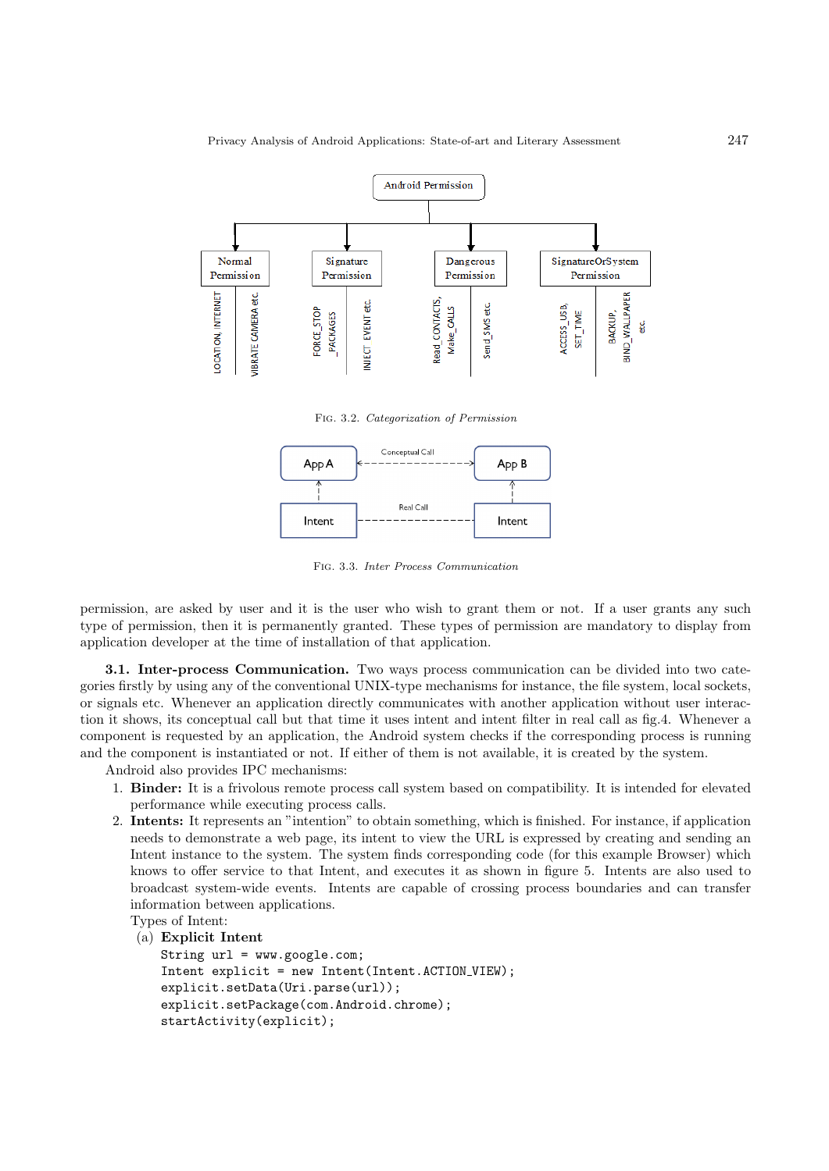

Fig. 3.2. Categorization of Permission



Fig. 3.3. Inter Process Communication

permission, are asked by user and it is the user who wish to grant them or not. If a user grants any such type of permission, then it is permanently granted. These types of permission are mandatory to display from application developer at the time of installation of that application.

3.1. Inter-process Communication. Two ways process communication can be divided into two categories firstly by using any of the conventional UNIX-type mechanisms for instance, the file system, local sockets, or signals etc. Whenever an application directly communicates with another application without user interaction it shows, its conceptual call but that time it uses intent and intent filter in real call as fig.4. Whenever a component is requested by an application, the Android system checks if the corresponding process is running and the component is instantiated or not. If either of them is not available, it is created by the system.

Android also provides IPC mechanisms:

- 1. Binder: It is a frivolous remote process call system based on compatibility. It is intended for elevated performance while executing process calls.
- 2. Intents: It represents an "intention" to obtain something, which is finished. For instance, if application needs to demonstrate a web page, its intent to view the URL is expressed by creating and sending an Intent instance to the system. The system finds corresponding code (for this example Browser) which knows to offer service to that Intent, and executes it as shown in figure 5. Intents are also used to broadcast system-wide events. Intents are capable of crossing process boundaries and can transfer information between applications.

```
Types of Intent:
```

```
(a) Explicit Intent
```

```
String url = www.google.com;
Intent explicit = new Intent(Intent.ACTION VIEW);
explicit.setData(Uri.parse(url));
explicit.setPackage(com.Android.chrome);
startActivity(explicit);
```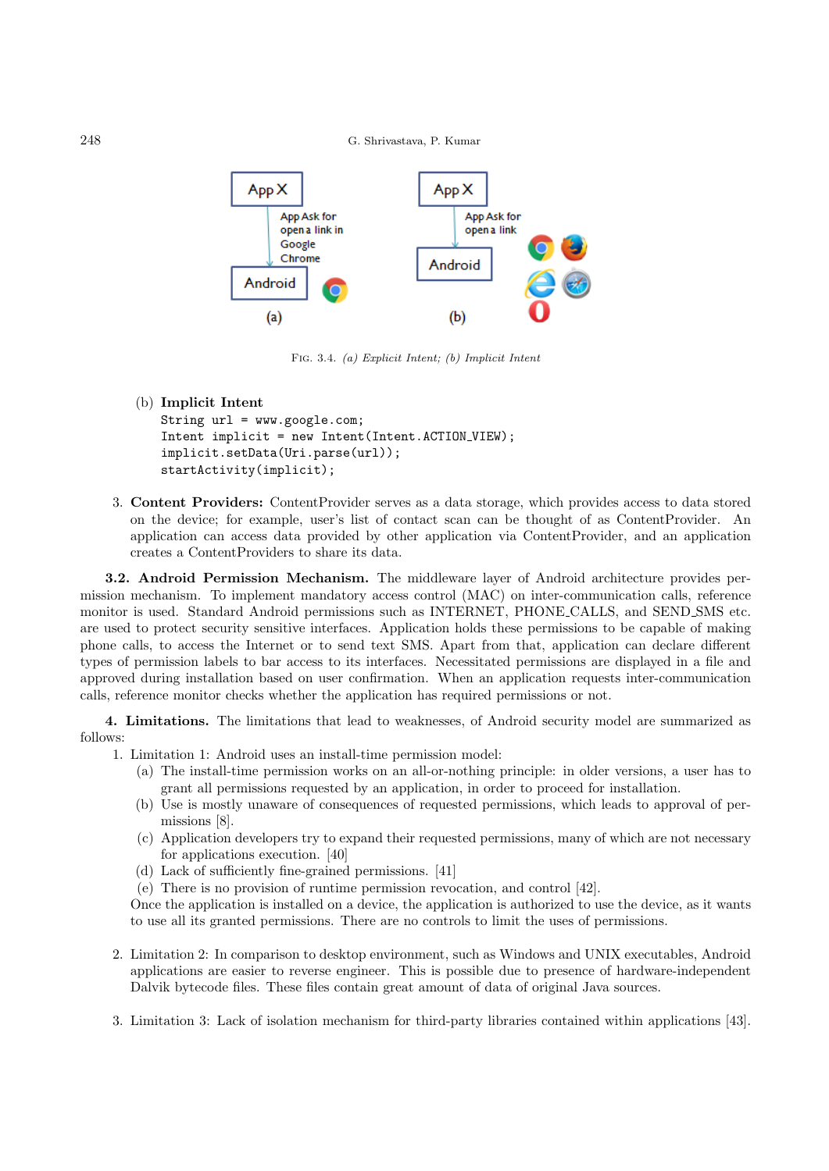248 G. Shrivastava, P. Kumar



Fig. 3.4. (a) Explicit Intent; (b) Implicit Intent

(b) Implicit Intent

```
String url = www.google.com;
Intent implicit = new Intent(Intent.ACTION_VIEW);
implicit.setData(Uri.parse(url));
startActivity(implicit);
```
3. Content Providers: ContentProvider serves as a data storage, which provides access to data stored on the device; for example, user's list of contact scan can be thought of as ContentProvider. An application can access data provided by other application via ContentProvider, and an application creates a ContentProviders to share its data.

3.2. Android Permission Mechanism. The middleware layer of Android architecture provides permission mechanism. To implement mandatory access control (MAC) on inter-communication calls, reference monitor is used. Standard Android permissions such as INTERNET, PHONE CALLS, and SEND SMS etc. are used to protect security sensitive interfaces. Application holds these permissions to be capable of making phone calls, to access the Internet or to send text SMS. Apart from that, application can declare different types of permission labels to bar access to its interfaces. Necessitated permissions are displayed in a file and approved during installation based on user confirmation. When an application requests inter-communication calls, reference monitor checks whether the application has required permissions or not.

4. Limitations. The limitations that lead to weaknesses, of Android security model are summarized as follows:

- 1. Limitation 1: Android uses an install-time permission model:
	- (a) The install-time permission works on an all-or-nothing principle: in older versions, a user has to grant all permissions requested by an application, in order to proceed for installation.
	- (b) Use is mostly unaware of consequences of requested permissions, which leads to approval of permissions [8].
	- (c) Application developers try to expand their requested permissions, many of which are not necessary for applications execution. [40]
	- (d) Lack of sufficiently fine-grained permissions. [41]
	- (e) There is no provision of runtime permission revocation, and control [42].

Once the application is installed on a device, the application is authorized to use the device, as it wants to use all its granted permissions. There are no controls to limit the uses of permissions.

- 2. Limitation 2: In comparison to desktop environment, such as Windows and UNIX executables, Android applications are easier to reverse engineer. This is possible due to presence of hardware-independent Dalvik bytecode files. These files contain great amount of data of original Java sources.
- 3. Limitation 3: Lack of isolation mechanism for third-party libraries contained within applications [43].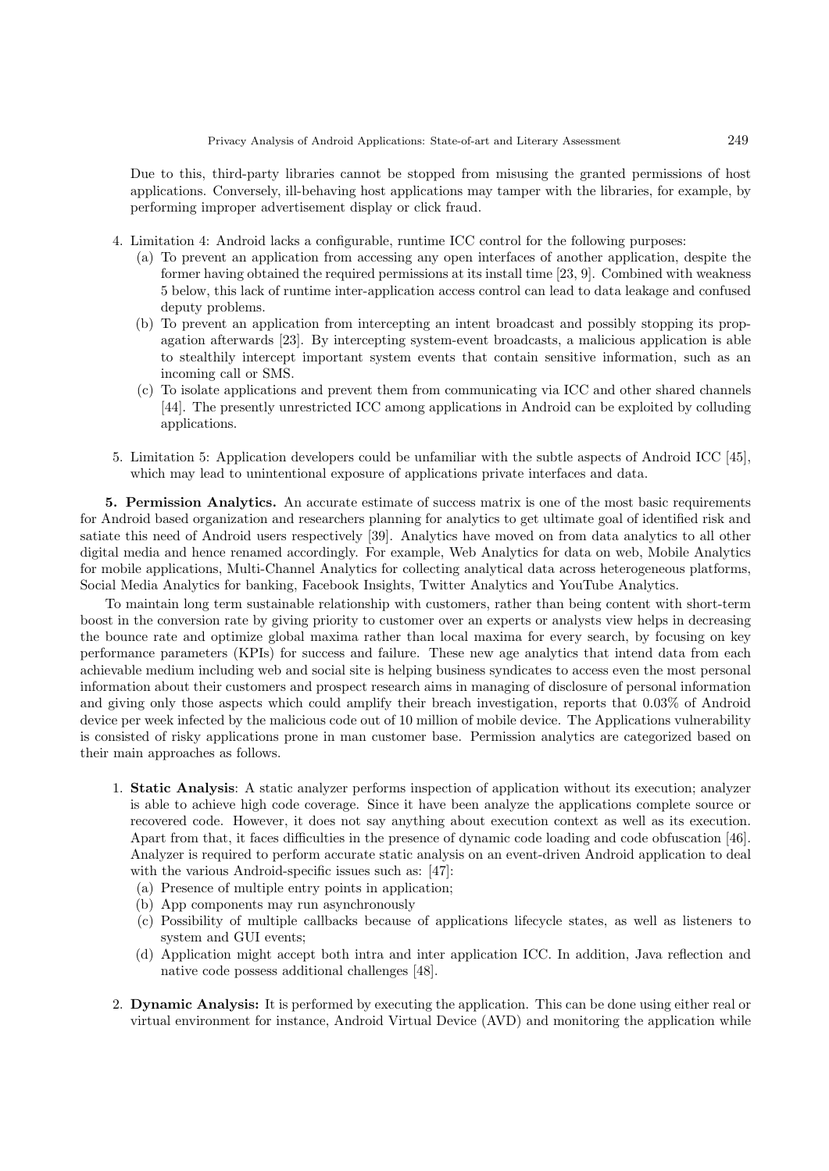Due to this, third-party libraries cannot be stopped from misusing the granted permissions of host applications. Conversely, ill-behaving host applications may tamper with the libraries, for example, by performing improper advertisement display or click fraud.

- 4. Limitation 4: Android lacks a configurable, runtime ICC control for the following purposes:
	- (a) To prevent an application from accessing any open interfaces of another application, despite the former having obtained the required permissions at its install time [23, 9]. Combined with weakness 5 below, this lack of runtime inter-application access control can lead to data leakage and confused deputy problems.
	- (b) To prevent an application from intercepting an intent broadcast and possibly stopping its propagation afterwards [23]. By intercepting system-event broadcasts, a malicious application is able to stealthily intercept important system events that contain sensitive information, such as an incoming call or SMS.
	- (c) To isolate applications and prevent them from communicating via ICC and other shared channels [44]. The presently unrestricted ICC among applications in Android can be exploited by colluding applications.
- 5. Limitation 5: Application developers could be unfamiliar with the subtle aspects of Android ICC [45], which may lead to unintentional exposure of applications private interfaces and data.

5. Permission Analytics. An accurate estimate of success matrix is one of the most basic requirements for Android based organization and researchers planning for analytics to get ultimate goal of identified risk and satiate this need of Android users respectively [39]. Analytics have moved on from data analytics to all other digital media and hence renamed accordingly. For example, Web Analytics for data on web, Mobile Analytics for mobile applications, Multi-Channel Analytics for collecting analytical data across heterogeneous platforms, Social Media Analytics for banking, Facebook Insights, Twitter Analytics and YouTube Analytics.

To maintain long term sustainable relationship with customers, rather than being content with short-term boost in the conversion rate by giving priority to customer over an experts or analysts view helps in decreasing the bounce rate and optimize global maxima rather than local maxima for every search, by focusing on key performance parameters (KPIs) for success and failure. These new age analytics that intend data from each achievable medium including web and social site is helping business syndicates to access even the most personal information about their customers and prospect research aims in managing of disclosure of personal information and giving only those aspects which could amplify their breach investigation, reports that 0.03% of Android device per week infected by the malicious code out of 10 million of mobile device. The Applications vulnerability is consisted of risky applications prone in man customer base. Permission analytics are categorized based on their main approaches as follows.

- 1. Static Analysis: A static analyzer performs inspection of application without its execution; analyzer is able to achieve high code coverage. Since it have been analyze the applications complete source or recovered code. However, it does not say anything about execution context as well as its execution. Apart from that, it faces difficulties in the presence of dynamic code loading and code obfuscation [46]. Analyzer is required to perform accurate static analysis on an event-driven Android application to deal with the various Android-specific issues such as: [47]:
	- (a) Presence of multiple entry points in application;
	- (b) App components may run asynchronously
	- (c) Possibility of multiple callbacks because of applications lifecycle states, as well as listeners to system and GUI events;
	- (d) Application might accept both intra and inter application ICC. In addition, Java reflection and native code possess additional challenges [48].
- 2. Dynamic Analysis: It is performed by executing the application. This can be done using either real or virtual environment for instance, Android Virtual Device (AVD) and monitoring the application while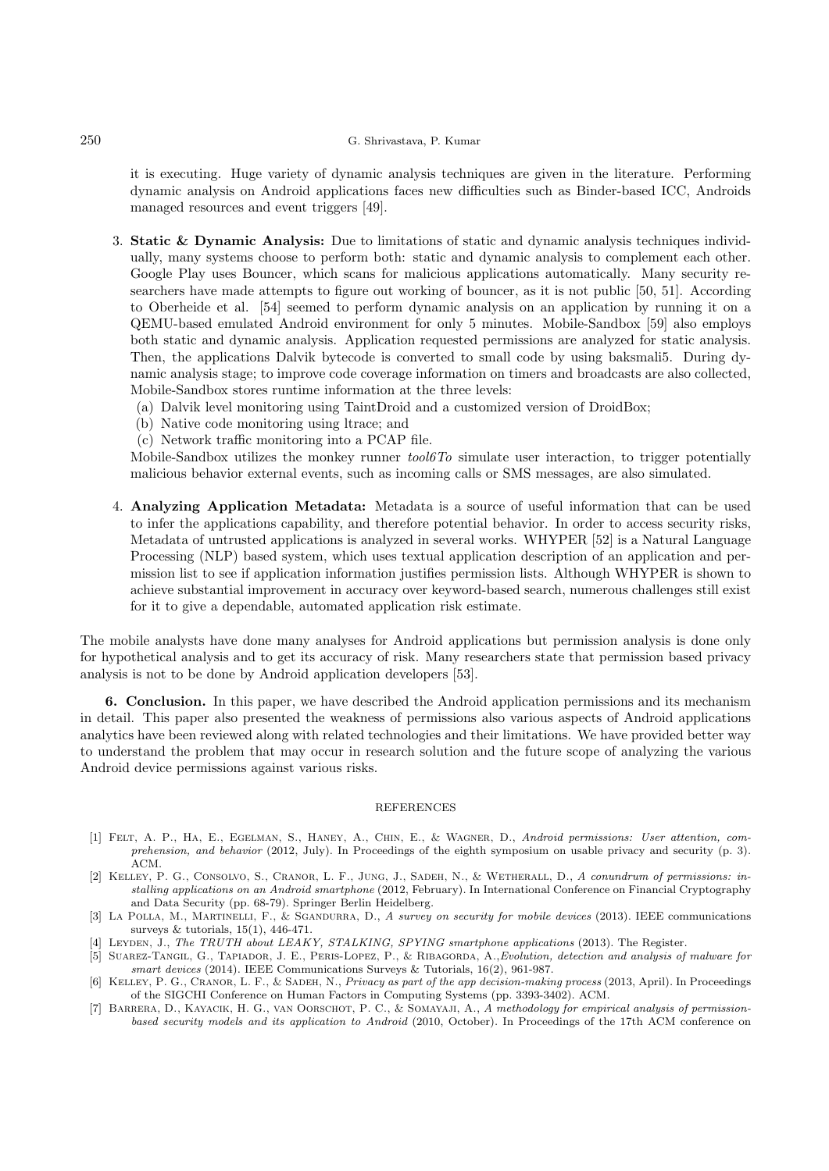## 250 G. Shrivastava, P. Kumar

it is executing. Huge variety of dynamic analysis techniques are given in the literature. Performing dynamic analysis on Android applications faces new difficulties such as Binder-based ICC, Androids managed resources and event triggers [49].

- 3. Static & Dynamic Analysis: Due to limitations of static and dynamic analysis techniques individually, many systems choose to perform both: static and dynamic analysis to complement each other. Google Play uses Bouncer, which scans for malicious applications automatically. Many security researchers have made attempts to figure out working of bouncer, as it is not public [50, 51]. According to Oberheide et al. [54] seemed to perform dynamic analysis on an application by running it on a QEMU-based emulated Android environment for only 5 minutes. Mobile-Sandbox [59] also employs both static and dynamic analysis. Application requested permissions are analyzed for static analysis. Then, the applications Dalvik bytecode is converted to small code by using baksmali5. During dynamic analysis stage; to improve code coverage information on timers and broadcasts are also collected, Mobile-Sandbox stores runtime information at the three levels:
	- (a) Dalvik level monitoring using TaintDroid and a customized version of DroidBox;
	- (b) Native code monitoring using ltrace; and
	- (c) Network traffic monitoring into a PCAP file.

Mobile-Sandbox utilizes the monkey runner  $tool6T\sigma$  simulate user interaction, to trigger potentially malicious behavior external events, such as incoming calls or SMS messages, are also simulated.

4. Analyzing Application Metadata: Metadata is a source of useful information that can be used to infer the applications capability, and therefore potential behavior. In order to access security risks, Metadata of untrusted applications is analyzed in several works. WHYPER [52] is a Natural Language Processing (NLP) based system, which uses textual application description of an application and permission list to see if application information justifies permission lists. Although WHYPER is shown to achieve substantial improvement in accuracy over keyword-based search, numerous challenges still exist for it to give a dependable, automated application risk estimate.

The mobile analysts have done many analyses for Android applications but permission analysis is done only for hypothetical analysis and to get its accuracy of risk. Many researchers state that permission based privacy analysis is not to be done by Android application developers [53].

6. Conclusion. In this paper, we have described the Android application permissions and its mechanism in detail. This paper also presented the weakness of permissions also various aspects of Android applications analytics have been reviewed along with related technologies and their limitations. We have provided better way to understand the problem that may occur in research solution and the future scope of analyzing the various Android device permissions against various risks.

## REFERENCES

- [1] Felt, A. P., Ha, E., Egelman, S., Haney, A., Chin, E., & Wagner, D., Android permissions: User attention, comprehension, and behavior (2012, July). In Proceedings of the eighth symposium on usable privacy and security (p. 3). ACM.
- [2] KELLEY, P. G., CONSOLVO, S., CRANOR, L. F., JUNG, J., SADEH, N., & WETHERALL, D., A conundrum of permissions: installing applications on an Android smartphone (2012, February). In International Conference on Financial Cryptography and Data Security (pp. 68-79). Springer Berlin Heidelberg.
- [3] LA POLLA, M., MARTINELLI, F., & SGANDURRA, D., A survey on security for mobile devices (2013). IEEE communications surveys & tutorials, 15(1), 446-471.
- [4] LEYDEN, J., The TRUTH about LEAKY, STALKING, SPYING smartphone applications (2013). The Register
- [5] Suarez-Tangil, G., Tapiador, J. E., Peris-Lopez, P., & Ribagorda, A.,Evolution, detection and analysis of malware for smart devices (2014). IEEE Communications Surveys & Tutorials, 16(2), 961-987.
- [6] KELLEY, P. G., CRANOR, L. F., & SADEH, N., Privacy as part of the app decision-making process (2013, April). In Proceedings of the SIGCHI Conference on Human Factors in Computing Systems (pp. 3393-3402). ACM.
- [7] BARRERA, D., KAYACIK, H. G., VAN OORSCHOT, P. C., & SOMAYAJI, A., A methodology for empirical analysis of permissionbased security models and its application to Android (2010, October). In Proceedings of the 17th ACM conference on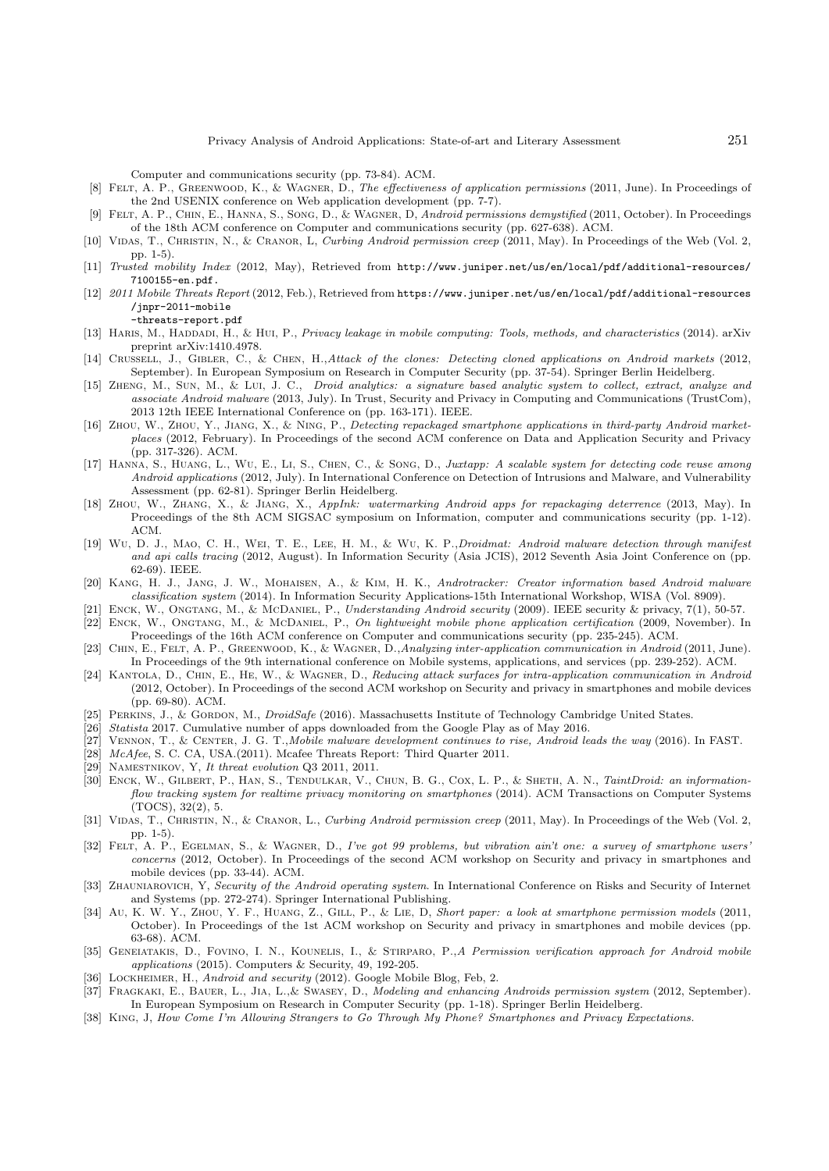Computer and communications security (pp. 73-84). ACM.

- [8] FELT, A. P., GREENWOOD, K., & WAGNER, D., The effectiveness of application permissions (2011, June). In Proceedings of the 2nd USENIX conference on Web application development (pp. 7-7).
- [9] FELT, A. P., CHIN, E., HANNA, S., SONG, D., & WAGNER, D. Android permissions demystified (2011, October). In Proceedings of the 18th ACM conference on Computer and communications security (pp. 627-638). ACM.
- [10] VIDAS, T., CHRISTIN, N., & CRANOR, L, Curbing Android permission creep (2011, May). In Proceedings of the Web (Vol. 2, pp. 1-5).
- [11] Trusted mobility Index (2012, May), Retrieved from http://www.juniper.net/us/en/local/pdf/additional-resources/ 7100155-en.pdf.
- [12] 2011 Mobile Threats Report (2012, Feb.), Retrieved from https://www.juniper.net/us/en/local/pdf/additional-resources /jnpr-2011-mobile

-threats-report.pdf

- [13] HARIS, M., HADDADI, H., & HUI, P., Privacy leakage in mobile computing: Tools, methods, and characteristics (2014). arXiv preprint arXiv:1410.4978.
- [14] CRUSSELL, J., GIBLER, C., & CHEN, H.,Attack of the clones: Detecting cloned applications on Android markets (2012, September). In European Symposium on Research in Computer Security (pp. 37-54). Springer Berlin Heidelberg.
- [15] ZHENG, M., SUN, M., & LUI, J. C., Droid analytics: a signature based analytic system to collect, extract, analyze and associate Android malware (2013, July). In Trust, Security and Privacy in Computing and Communications (TrustCom), 2013 12th IEEE International Conference on (pp. 163-171). IEEE.
- [16] Zhou, W., Zhou, Y., Jiang, X., & Ning, P., Detecting repackaged smartphone applications in third-party Android marketplaces (2012, February). In Proceedings of the second ACM conference on Data and Application Security and Privacy (pp. 317-326). ACM.
- [17] Hanna, S., Huang, L., Wu, E., Li, S., Chen, C., & Song, D., Juxtapp: A scalable system for detecting code reuse among Android applications (2012, July). In International Conference on Detection of Intrusions and Malware, and Vulnerability Assessment (pp. 62-81). Springer Berlin Heidelberg.
- [18] Zhou, W., Zhang, X., & Jiang, X., AppInk: watermarking Android apps for repackaging deterrence (2013, May). In Proceedings of the 8th ACM SIGSAC symposium on Information, computer and communications security (pp. 1-12). ACM.
- [19] Wu, D. J., Mao, C. H., Wei, T. E., Lee, H. M., & Wu, K. P.,Droidmat: Android malware detection through manifest and api calls tracing (2012, August). In Information Security (Asia JCIS), 2012 Seventh Asia Joint Conference on (pp. 62-69). IEEE.
- [20] Kang, H. J., Jang, J. W., Mohaisen, A., & Kim, H. K., Androtracker: Creator information based Android malware classification system (2014). In Information Security Applications-15th International Workshop, WISA (Vol. 8909).
- [21] ENCK, W., ONGTANG, M., & McDANIEL, P., Understanding Android security (2009). IEEE security & privacy, 7(1), 50-57.
- [22] Enck, W., Ongtang, M., & McDaniel, P., On lightweight mobile phone application certification (2009, November). In Proceedings of the 16th ACM conference on Computer and communications security (pp. 235-245). ACM.
- [23] Chin, E., Felt, A. P., Greenwood, K., & Wagner, D.,Analyzing inter-application communication in Android (2011, June). In Proceedings of the 9th international conference on Mobile systems, applications, and services (pp. 239-252). ACM.
- [24] Kantola, D., Chin, E., He, W., & Wagner, D., Reducing attack surfaces for intra-application communication in Android (2012, October). In Proceedings of the second ACM workshop on Security and privacy in smartphones and mobile devices (pp. 69-80). ACM.
- [25] PERKINS, J., & GORDON, M., *DroidSafe* (2016). Massachusetts Institute of Technology Cambridge United States.
- [26] Statista 2017. Cumulative number of apps downloaded from the Google Play as of May 2016.
- [27] Vennon, T., & Center, J. G. T.,Mobile malware development continues to rise, Android leads the way (2016). In FAST.
- [28] McAfee, S. C. CA, USA.(2011). Mcafee Threats Report: Third Quarter 2011.
- [29] NAMESTNIKOV, Y, It threat evolution Q3 2011, 2011.
- [30] ENCK, W., GILBERT, P., HAN, S., TENDULKAR, V., CHUN, B. G., COX, L. P., & SHETH, A. N., TaintDroid: an informationflow tracking system for realtime privacy monitoring on smartphones (2014). ACM Transactions on Computer Systems (TOCS), 32(2), 5.
- [31] VIDAS, T., CHRISTIN, N., & CRANOR, L., Curbing Android permission creep (2011, May). In Proceedings of the Web (Vol. 2, pp. 1-5).
- [32] FELT, A. P., EGELMAN, S., & WAGNER, D., I've got 99 problems, but vibration ain't one: a survey of smartphone users' concerns (2012, October). In Proceedings of the second ACM workshop on Security and privacy in smartphones and mobile devices (pp. 33-44). ACM.
- [33] ZHAUNIAROVICH, Y, Security of the Android operating system. In International Conference on Risks and Security of Internet and Systems (pp. 272-274). Springer International Publishing.
- [34] Au, K. W. Y., ZHOU, Y. F., HUANG, Z., GILL, P., & LIE, D., Short paper: a look at smartphone permission models (2011, October). In Proceedings of the 1st ACM workshop on Security and privacy in smartphones and mobile devices (pp. 63-68). ACM.
- [35] GENEIATAKIS, D., FOVINO, I. N., KOUNELIS, I., & STIRPARO, P., A Permission verification approach for Android mobile applications (2015). Computers & Security, 49, 192-205.
- [36] LOCKHEIMER, H., Android and security (2012). Google Mobile Blog, Feb, 2.
- [37] FRAGKAKI, E., BAUER, L., JIA, L., & SWASEY, D., Modeling and enhancing Androids permission system (2012, September). In European Symposium on Research in Computer Security (pp. 1-18). Springer Berlin Heidelberg.
- [38] King, J, How Come I'm Allowing Strangers to Go Through My Phone? Smartphones and Privacy Expectations.